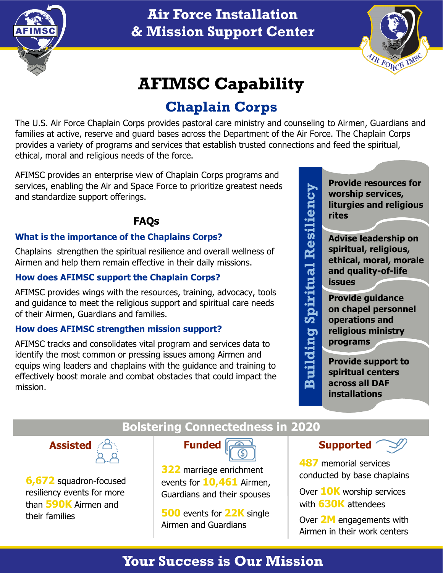

## **Air Force Installation & Mission Support Center**



# **AFIMSC Capability**

# **Chaplain Corps**

The U.S. Air Force Chaplain Corps provides pastoral care ministry and counseling to Airmen, Guardians and families at active, reserve and guard bases across the Department of the Air Force. The Chaplain Corps provides a variety of programs and services that establish trusted connections and feed the spiritual, ethical, moral and religious needs of the force.

AFIMSC provides an enterprise view of Chaplain Corps programs and services, enabling the Air and Space Force to prioritize greatest needs and standardize support offerings.

### **FAQs**

### **What is the importance of the Chaplains Corps?**

Chaplains strengthen the spiritual resilience and overall wellness of Airmen and help them remain effective in their daily missions.

### **How does AFIMSC support the Chaplain Corps?**

AFIMSC provides wings with the resources, training, advocacy, tools and guidance to meet the religious support and spiritual care needs of their Airmen, Guardians and families.

### **How does AFIMSC strengthen mission support?**

AFIMSC tracks and consolidates vital program and services data to identify the most common or pressing issues among Airmen and equips wing leaders and chaplains with the guidance and training to effectively boost morale and combat obstacles that could impact the mission.

**Provide resources for worship services, liturgies and religious rites**

**Advise leadership on spiritual, religious, ethical, moral, morale and quality-of-life issues**

**Provide guidance on chapel personnel operations and religious ministry programs**

**Building Spiritual Resiliency**

**Building Spiritual Resiliency** 

**Provide support to spiritual centers across all DAF installations**



**6,672** squadron-focused resiliency events for more than **590K** Airmen and their families

### **Bolstering Connectedness in 2020**



**322** marriage enrichment events for **10,461** Airmen, Guardians and their spouses

**500** events for **22K** single Airmen and Guardians





**487** memorial services conducted by base chaplains

Over **10K** worship services with **630K** attendees

Over **2M** engagements with Airmen in their work centers

# **Your Success is Our Mission**